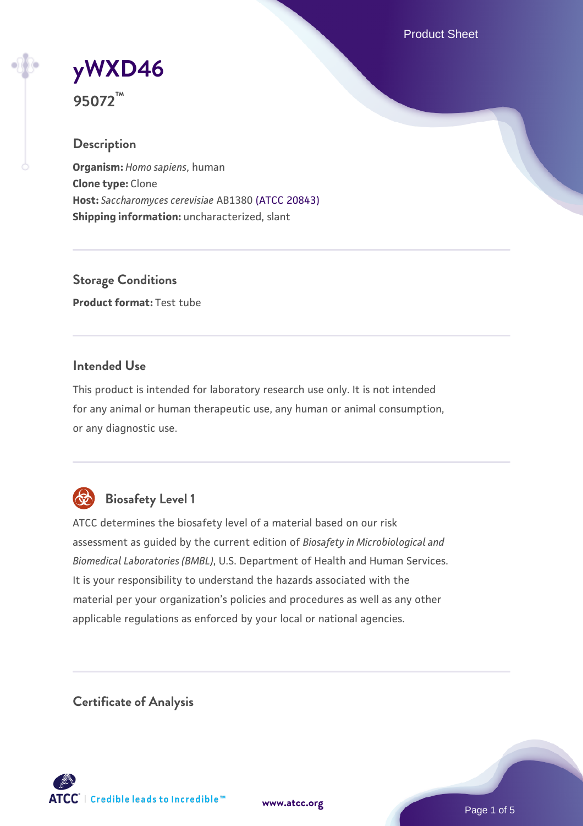Product Sheet

# **[yWXD46](https://www.atcc.org/products/95072)**

**95072™**

# **Description**

**Organism:** *Homo sapiens*, human **Clone type:** Clone **Host:** *Saccharomyces cerevisiae* AB1380 [\(ATCC 20843\)](https://www.atcc.org/products/20843) **Shipping information:** uncharacterized, slant

**Storage Conditions Product format:** Test tube

### **Intended Use**

This product is intended for laboratory research use only. It is not intended for any animal or human therapeutic use, any human or animal consumption, or any diagnostic use.



# **Biosafety Level 1**

ATCC determines the biosafety level of a material based on our risk assessment as guided by the current edition of *Biosafety in Microbiological and Biomedical Laboratories (BMBL)*, U.S. Department of Health and Human Services. It is your responsibility to understand the hazards associated with the material per your organization's policies and procedures as well as any other applicable regulations as enforced by your local or national agencies.

**Certificate of Analysis**

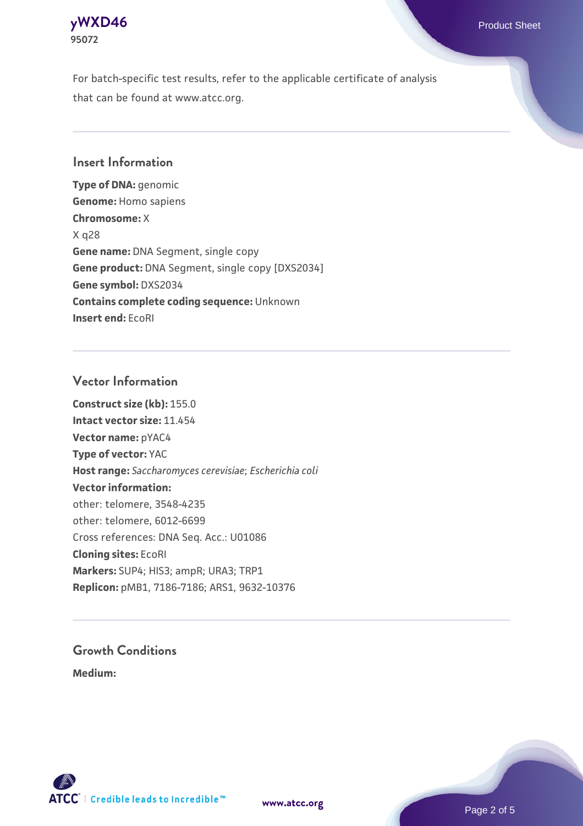

For batch-specific test results, refer to the applicable certificate of analysis that can be found at www.atcc.org.

#### **Insert Information**

**Type of DNA:** genomic **Genome:** Homo sapiens **Chromosome:** X X q28 **Gene name:** DNA Segment, single copy **Gene product:** DNA Segment, single copy [DXS2034] **Gene symbol:** DXS2034 **Contains complete coding sequence:** Unknown **Insert end:** EcoRI

#### **Vector Information**

**Construct size (kb):** 155.0 **Intact vector size:** 11.454 **Vector name:** pYAC4 **Type of vector:** YAC **Host range:** *Saccharomyces cerevisiae*; *Escherichia coli* **Vector information:** other: telomere, 3548-4235 other: telomere, 6012-6699 Cross references: DNA Seq. Acc.: U01086 **Cloning sites:** EcoRI **Markers:** SUP4; HIS3; ampR; URA3; TRP1 **Replicon:** pMB1, 7186-7186; ARS1, 9632-10376

# **Growth Conditions**

**Medium:** 



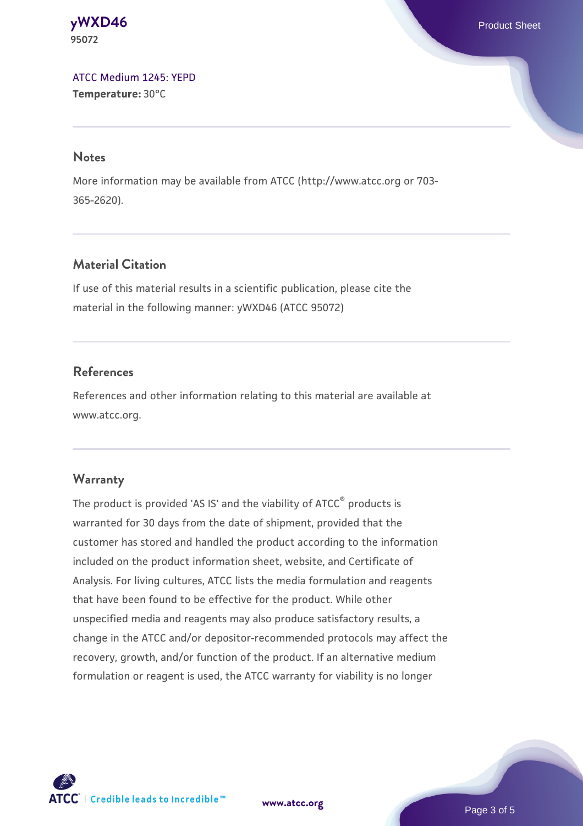**[yWXD46](https://www.atcc.org/products/95072)** Product Sheet **95072**

[ATCC Medium 1245: YEPD](https://www.atcc.org/-/media/product-assets/documents/microbial-media-formulations/1/2/4/5/atcc-medium-1245.pdf?rev=705ca55d1b6f490a808a965d5c072196) **Temperature:** 30°C

#### **Notes**

More information may be available from ATCC (http://www.atcc.org or 703- 365-2620).

### **Material Citation**

If use of this material results in a scientific publication, please cite the material in the following manner: yWXD46 (ATCC 95072)

#### **References**

References and other information relating to this material are available at www.atcc.org.

#### **Warranty**

The product is provided 'AS IS' and the viability of ATCC® products is warranted for 30 days from the date of shipment, provided that the customer has stored and handled the product according to the information included on the product information sheet, website, and Certificate of Analysis. For living cultures, ATCC lists the media formulation and reagents that have been found to be effective for the product. While other unspecified media and reagents may also produce satisfactory results, a change in the ATCC and/or depositor-recommended protocols may affect the recovery, growth, and/or function of the product. If an alternative medium formulation or reagent is used, the ATCC warranty for viability is no longer



**[www.atcc.org](http://www.atcc.org)**

Page 3 of 5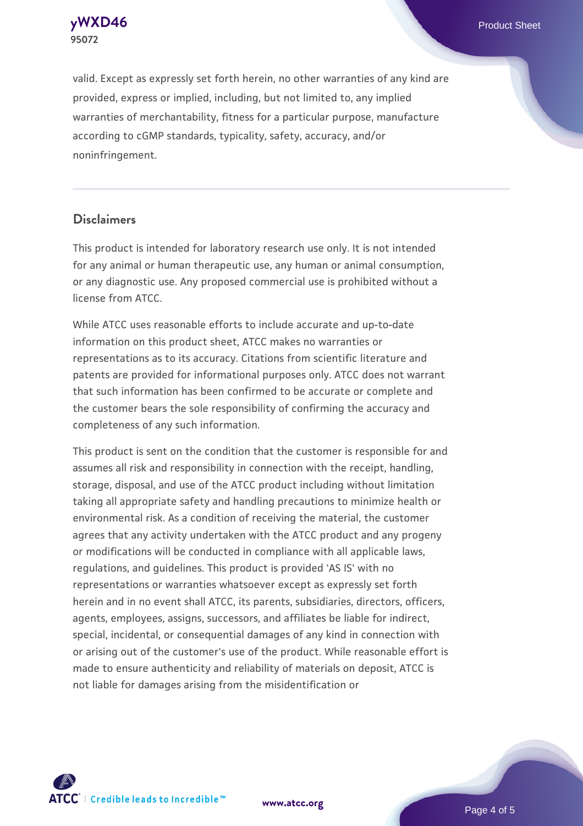

valid. Except as expressly set forth herein, no other warranties of any kind are provided, express or implied, including, but not limited to, any implied warranties of merchantability, fitness for a particular purpose, manufacture according to cGMP standards, typicality, safety, accuracy, and/or noninfringement.

#### **Disclaimers**

This product is intended for laboratory research use only. It is not intended for any animal or human therapeutic use, any human or animal consumption, or any diagnostic use. Any proposed commercial use is prohibited without a license from ATCC.

While ATCC uses reasonable efforts to include accurate and up-to-date information on this product sheet, ATCC makes no warranties or representations as to its accuracy. Citations from scientific literature and patents are provided for informational purposes only. ATCC does not warrant that such information has been confirmed to be accurate or complete and the customer bears the sole responsibility of confirming the accuracy and completeness of any such information.

This product is sent on the condition that the customer is responsible for and assumes all risk and responsibility in connection with the receipt, handling, storage, disposal, and use of the ATCC product including without limitation taking all appropriate safety and handling precautions to minimize health or environmental risk. As a condition of receiving the material, the customer agrees that any activity undertaken with the ATCC product and any progeny or modifications will be conducted in compliance with all applicable laws, regulations, and guidelines. This product is provided 'AS IS' with no representations or warranties whatsoever except as expressly set forth herein and in no event shall ATCC, its parents, subsidiaries, directors, officers, agents, employees, assigns, successors, and affiliates be liable for indirect, special, incidental, or consequential damages of any kind in connection with or arising out of the customer's use of the product. While reasonable effort is made to ensure authenticity and reliability of materials on deposit, ATCC is not liable for damages arising from the misidentification or



**[www.atcc.org](http://www.atcc.org)**

Page 4 of 5